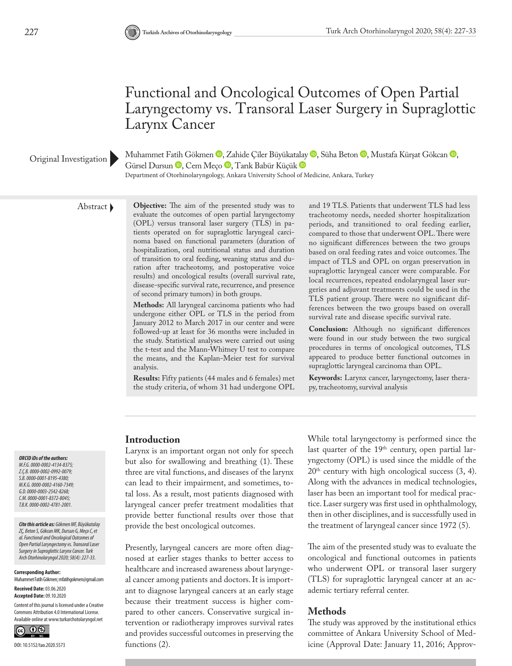# Functional and Oncological Outcomes of Open Partial Laryngectomy vs. Transoral Laser Surgery in Supraglottic Larynx Cancer

#### Original Investigation

Muhammet Fatih Gökmen <sup>®</sup>, Zahide Çiler Büyükat[alay](https://orcid.org/0000-0002-4781-2001) ®, Süha Beton ®, Mustafa Kürşat Gökcan ®, Gürsel Dursun <sup>D</sup>, Cem Meço D, Tarık Babür Küçük D

Department of Otorhinolaryngology, Ankara University School of Medicine, Ankara, Turkey

Abstract **Objective:** The aim of the presented study was to evaluate the outcomes of open partial laryngectomy (OPL) versus transoral laser surgery (TLS) in patients operated on for supraglottic laryngeal carcinoma based on functional parameters (duration of hospitalization, oral nutritional status and duration of transition to oral feeding, weaning status and duration after tracheotomy, and postoperative voice results) and oncological results (overall survival rate, disease-specific survival rate, recurrence, and presence of second primary tumors) in both groups.

> **Methods:** All laryngeal carcinoma patients who had undergone either OPL or TLS in the period from January 2012 to March 2017 in our center and were followed-up at least for 36 months were included in the study. Statistical analyses were carried out using the t-test and the Mann-Whitney U test to compare the means, and the Kaplan-Meier test for survival analysis.

> **Results:** Fifty patients (44 males and 6 females) met the study criteria, of whom 31 had undergone OPL

and 19 TLS. Patients that underwent TLS had less tracheotomy needs, needed shorter hospitalization periods, and transitioned to oral feeding earlier, compared to those that underwent OPL. There were no significant differences between the two groups based on oral feeding rates and voice outcomes. The impact of TLS and OPL on organ preservation in supraglottic laryngeal cancer were comparable. For local recurrences, repeated endolaryngeal laser surgeries and adjuvant treatments could be used in the TLS patient group. There were no significant differences between the two groups based on overall survival rate and disease specific survival rate.

**Conclusion:** Although no significant differences were found in our study between the two surgical procedures in terms of oncological outcomes, TLS appeared to produce better functional outcomes in supraglottic laryngeal carcinoma than OPL.

**Keywords:** Larynx cancer, laryngectomy, laser therapy, tracheotomy, survival analysis

#### *ORCID iDs of the authors:*

*M.F.G. 0000-0002-4134-8375; Z.Ç.B. 0000-0002-0992-0079; S.B. 0000-0001-8195-4380; M.K.G. 0000-0002-4160-7349; G.D. 0000-0003-2542-8268; C.M. 0000-0001-8372-8045; T.B.K. 0000-0002-4781-2001.*

*Cite this article as: Gökmen MF, Büyükatalay ZÇ, Beton S, Gökcan MK, Dursun G, Meço C, et al. Functional and Oncological Outcomes of Open Partial Laryngectomy vs. Transoral Laser Surgery in Supraglottic Larynx Cancer. Turk Arch Otorhinolaryngol 2020; 58(4): 227-33.*

**Corresponding Author:** 

Muhammet Fatih Gökmen; mfatihgokmen@gmail.com **Received Date:** 03.06.2020

**Accepted Date:** 09.10.2020

Content of this journal is licensed under a Creative Commons Attribution 4.0 International License. Available online at www.turkarchotolaryngol.net



#### **Introduction**

Larynx is an important organ not only for speech but also for swallowing and breathing (1). These three are vital functions, and diseases of the larynx can lead to their impairment, and sometimes, total loss. As a result, most patients diagnosed with laryngeal cancer prefer treatment modalities that provide better functional results over those that provide the best oncological outcomes.

Presently, laryngeal cancers are more often diagnosed at earlier stages thanks to better access to healthcare and increased awareness about laryngeal cancer among patients and doctors. It is important to diagnose laryngeal cancers at an early stage because their treatment success is higher compared to other cancers. Conservative surgical intervention or radiotherapy improves survival rates and provides successful outcomes in preserving the functions (2).

While total laryngectomy is performed since the last quarter of the 19<sup>th</sup> century, open partial laryngectomy (OPL) is used since the middle of the  $20<sup>th</sup>$  century with high oncological success  $(3, 4)$ . Along with the advances in medical technologies, laser has been an important tool for medical practice. Laser surgery was first used in ophthalmology, then in other disciplines, and is successfully used in the treatment of laryngeal cancer since 1972 (5).

The aim of the presented study was to evaluate the oncological and functional outcomes in patients who underwent OPL or transoral laser surgery (TLS) for supraglottic laryngeal cancer at an academic tertiary referral center.

#### **Methods**

The study was approved by the institutional ethics committee of Ankara University School of Medicine (Approval Date: January 11, 2016; Approv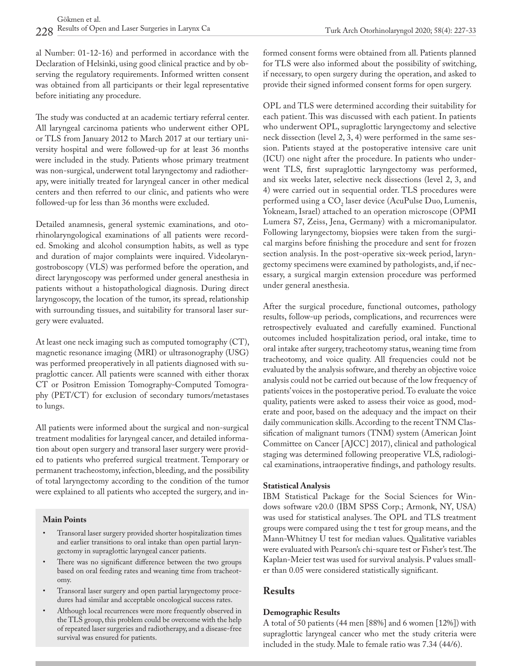al Number: 01-12-16) and performed in accordance with the Declaration of Helsinki, using good clinical practice and by observing the regulatory requirements. Informed written consent was obtained from all participants or their legal representative before initiating any procedure.

The study was conducted at an academic tertiary referral center. All laryngeal carcinoma patients who underwent either OPL or TLS from January 2012 to March 2017 at our tertiary university hospital and were followed-up for at least 36 months were included in the study. Patients whose primary treatment was non-surgical, underwent total laryngectomy and radiotherapy, were initially treated for laryngeal cancer in other medical centers and then referred to our clinic, and patients who were followed-up for less than 36 months were excluded.

Detailed anamnesis, general systemic examinations, and otorhinolaryngological examinations of all patients were recorded. Smoking and alcohol consumption habits, as well as type and duration of major complaints were inquired. Videolaryngostroboscopy (VLS) was performed before the operation, and direct laryngoscopy was performed under general anesthesia in patients without a histopathological diagnosis. During direct laryngoscopy, the location of the tumor, its spread, relationship with surrounding tissues, and suitability for transoral laser surgery were evaluated.

At least one neck imaging such as computed tomography (CT), magnetic resonance imaging (MRI) or ultrasonography (USG) was performed preoperatively in all patients diagnosed with supraglottic cancer. All patients were scanned with either thorax CT or Positron Emission Tomography-Computed Tomography (PET/CT) for exclusion of secondary tumors/metastases to lungs.

All patients were informed about the surgical and non-surgical treatment modalities for laryngeal cancer, and detailed information about open surgery and transoral laser surgery were provided to patients who preferred surgical treatment. Temporary or permanent tracheostomy, infection, bleeding, and the possibility of total laryngectomy according to the condition of the tumor were explained to all patients who accepted the surgery, and in-

#### **Main Points**

- Transoral laser surgery provided shorter hospitalization times and earlier transitions to oral intake than open partial laryngectomy in supraglottic laryngeal cancer patients.
- There was no significant difference between the two groups based on oral feeding rates and weaning time from tracheotomy.
- Transoral laser surgery and open partial laryngectomy procedures had similar and acceptable oncological success rates.
- Although local recurrences were more frequently observed in the TLS group, this problem could be overcome with the help of repeated laser surgeries and radiotherapy, and a disease-free survival was ensured for patients.

formed consent forms were obtained from all. Patients planned for TLS were also informed about the possibility of switching, if necessary, to open surgery during the operation, and asked to provide their signed informed consent forms for open surgery.

OPL and TLS were determined according their suitability for each patient. This was discussed with each patient. In patients who underwent OPL, supraglottic laryngectomy and selective neck dissection (level 2, 3, 4) were performed in the same session. Patients stayed at the postoperative intensive care unit (ICU) one night after the procedure. In patients who underwent TLS, first supraglottic laryngectomy was performed, and six weeks later, selective neck dissections (level 2, 3, and 4) were carried out in sequential order. TLS procedures were performed using a CO<sub>2</sub> laser device (AcuPulse Duo, Lumenis, Yokneam, Israel) attached to an operation microscope (OPMI Lumera S7, Zeiss, Jena, Germany) with a micromanipulator. Following laryngectomy, biopsies were taken from the surgical margins before finishing the procedure and sent for frozen section analysis. In the post-operative six-week period, laryngectomy specimens were examined by pathologists, and, if necessary, a surgical margin extension procedure was performed under general anesthesia.

After the surgical procedure, functional outcomes, pathology results, follow-up periods, complications, and recurrences were retrospectively evaluated and carefully examined. Functional outcomes included hospitalization period, oral intake, time to oral intake after surgery, tracheotomy status, weaning time from tracheotomy, and voice quality. All frequencies could not be evaluated by the analysis software, and thereby an objective voice analysis could not be carried out because of the low frequency of patients' voices in the postoperative period. To evaluate the voice quality, patients were asked to assess their voice as good, moderate and poor, based on the adequacy and the impact on their daily communication skills. According to the recent TNM Classification of malignant tumors (TNM) system (American Joint Committee on Cancer [AJCC] 2017), clinical and pathological staging was determined following preoperative VLS, radiological examinations, intraoperative findings, and pathology results.

### **Statistical Analysis**

IBM Statistical Package for the Social Sciences for Windows software v20.0 (IBM SPSS Corp.; Armonk, NY, USA) was used for statistical analyses. The OPL and TLS treatment groups were compared using the t test for group means, and the Mann-Whitney U test for median values. Qualitative variables were evaluated with Pearson's chi-square test or Fisher's test. The Kaplan-Meier test was used for survival analysis. P values smaller than 0.05 were considered statistically significant.

## **Results**

### **Demographic Results**

A total of 50 patients (44 men [88%] and 6 women [12%]) with supraglottic laryngeal cancer who met the study criteria were included in the study. Male to female ratio was 7.34 (44/6).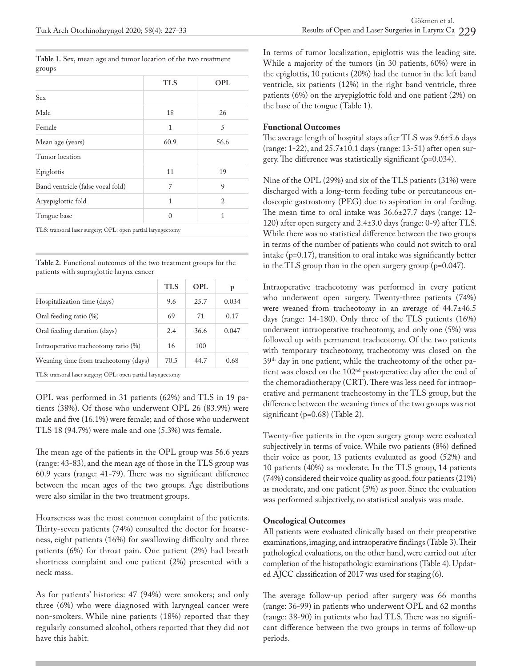**Table 1.** Sex, mean age and tumor location of the two treatment groups

|                                                              | <b>TLS</b> | <b>OPL</b> |
|--------------------------------------------------------------|------------|------------|
| Sex                                                          |            |            |
| Male                                                         | 18         | 26         |
| Female                                                       | 1          | 5          |
| Mean age (years)                                             | 60.9       | 56.6       |
| Tumor location                                               |            |            |
| Epiglottis                                                   | 11         | 19         |
| Band ventricle (false vocal fold)                            | 7          | 9          |
| Aryepiglottic fold                                           | 1          | 2          |
| Tongue base                                                  | $\Omega$   | 1          |
| TLS: transoral laser surgery; OPL: open partial laryngectomy |            |            |

**Table 2.** Functional outcomes of the two treatment groups for the patients with supraglottic larynx cancer

|                                                              | <b>TLS</b> | OPL  |       |
|--------------------------------------------------------------|------------|------|-------|
| Hospitalization time (days)                                  | 9.6        | 25.7 | 0.034 |
| Oral feeding ratio (%)                                       | 69         | 71   | 0.17  |
| Oral feeding duration (days)                                 | 2.4        | 36.6 | 0.047 |
| Intraoperative tracheotomy ratio (%)                         | 16         | 100  |       |
| Weaning time from tracheotomy (days)                         | 70.5       | 44.7 | 0.68  |
| TLS: transoral laser surgery: OPL: open partial laryngectomy |            |      |       |

TLS: transoral laser surgery; OPL: open partial laryngectomy

OPL was performed in 31 patients (62%) and TLS in 19 patients (38%). Of those who underwent OPL 26 (83.9%) were male and five (16.1%) were female; and of those who underwent TLS 18 (94.7%) were male and one (5.3%) was female.

The mean age of the patients in the OPL group was 56.6 years (range: 43-83), and the mean age of those in the TLS group was 60.9 years (range: 41-79). There was no significant difference between the mean ages of the two groups. Age distributions were also similar in the two treatment groups.

Hoarseness was the most common complaint of the patients. Thirty-seven patients (74%) consulted the doctor for hoarseness, eight patients (16%) for swallowing difficulty and three patients (6%) for throat pain. One patient (2%) had breath shortness complaint and one patient (2%) presented with a neck mass.

As for patients' histories: 47 (94%) were smokers; and only three (6%) who were diagnosed with laryngeal cancer were non-smokers. While nine patients (18%) reported that they regularly consumed alcohol, others reported that they did not have this habit.

In terms of tumor localization, epiglottis was the leading site. While a majority of the tumors (in 30 patients, 60%) were in the epiglottis, 10 patients (20%) had the tumor in the left band ventricle, six patients (12%) in the right band ventricle, three patients (6%) on the aryepiglottic fold and one patient (2%) on the base of the tongue (Table 1).

#### **Functional Outcomes**

The average length of hospital stays after TLS was 9.6±5.6 days (range: 1-22), and 25.7±10.1 days (range: 13-51) after open surgery. The difference was statistically significant (p=0.034).

Nine of the OPL (29%) and six of the TLS patients (31%) were discharged with a long-term feeding tube or percutaneous endoscopic gastrostomy (PEG) due to aspiration in oral feeding. The mean time to oral intake was 36.6±27.7 days (range: 12- 120) after open surgery and 2.4±3.0 days (range: 0-9) after TLS. While there was no statistical difference between the two groups in terms of the number of patients who could not switch to oral intake (p=0.17), transition to oral intake was significantly better in the TLS group than in the open surgery group (p=0.047).

Intraoperative tracheotomy was performed in every patient who underwent open surgery. Twenty-three patients (74%) were weaned from tracheotomy in an average of 44.7±46.5 days (range: 14-180). Only three of the TLS patients (16%) underwent intraoperative tracheotomy, and only one (5%) was followed up with permanent tracheotomy. Of the two patients with temporary tracheotomy, tracheotomy was closed on the 39th day in one patient, while the tracheotomy of the other patient was closed on the 102nd postoperative day after the end of the chemoradiotherapy (CRT). There was less need for intraoperative and permanent tracheostomy in the TLS group, but the difference between the weaning times of the two groups was not significant (p=0.68) (Table 2).

Twenty-five patients in the open surgery group were evaluated subjectively in terms of voice. While two patients (8%) defined their voice as poor, 13 patients evaluated as good (52%) and 10 patients (40%) as moderate. In the TLS group, 14 patients (74%) considered their voice quality as good, four patients (21%) as moderate, and one patient (5%) as poor. Since the evaluation was performed subjectively, no statistical analysis was made.

#### **Oncological Outcomes**

All patients were evaluated clinically based on their preoperative examinations, imaging, and intraoperative findings (Table 3). Their pathological evaluations, on the other hand, were carried out after completion of the histopathologic examinations (Table 4). Updated AJCC classification of 2017 was used for staging (6).

The average follow-up period after surgery was 66 months (range: 36-99) in patients who underwent OPL and 62 months (range: 38-90) in patients who had TLS. There was no significant difference between the two groups in terms of follow-up periods.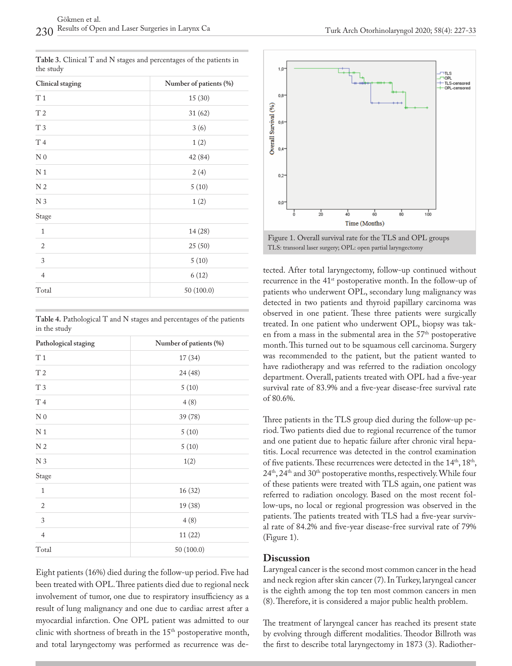| Clinical staging            | Number of patients (%) |  |  |
|-----------------------------|------------------------|--|--|
| T <sub>1</sub>              | 15 (30)                |  |  |
| T <sub>2</sub>              | 31 (62)                |  |  |
| T 3                         | 3(6)                   |  |  |
| T 4                         | 1(2)                   |  |  |
| N <sub>0</sub>              | 42 (84)                |  |  |
| N <sub>1</sub>              | 2(4)                   |  |  |
| N <sub>2</sub>              | 5(10)                  |  |  |
| N <sub>3</sub>              | 1(2)                   |  |  |
| Stage                       |                        |  |  |
| $\mathbf{1}$                | 14 (28)                |  |  |
| $\sqrt{2}$                  | 25(50)                 |  |  |
| $\ensuremath{\mathfrak{Z}}$ | 5(10)                  |  |  |
| $\overline{4}$              | 6(12)                  |  |  |
| Total                       | 50 (100.0)             |  |  |

**Table 3.** Clinical T and N stages and percentages of the patients in the study

|              | Table 4. Pathological T and N stages and percentages of the patients |  |  |  |
|--------------|----------------------------------------------------------------------|--|--|--|
| in the study |                                                                      |  |  |  |

| Pathological staging | Number of patients (%) |  |
|----------------------|------------------------|--|
| T <sub>1</sub>       | 17(34)                 |  |
| T <sub>2</sub>       | 24 (48)                |  |
| T <sub>3</sub>       | 5(10)                  |  |
| T 4                  | 4(8)                   |  |
| N <sub>0</sub>       | 39 (78)                |  |
| N <sub>1</sub>       | 5(10)                  |  |
| N <sub>2</sub>       | 5(10)                  |  |
| N <sub>3</sub>       | 1(2)                   |  |
| Stage                |                        |  |
| $\mathbf{1}$         | 16(32)                 |  |
| $\overline{2}$       | 19 (38)                |  |
| 3                    | 4(8)                   |  |
| $\overline{4}$       | 11(22)                 |  |
| Total                | 50 (100.0)             |  |

Eight patients (16%) died during the follow-up period. Five had been treated with OPL. Three patients died due to regional neck involvement of tumor, one due to respiratory insufficiency as a result of lung malignancy and one due to cardiac arrest after a myocardial infarction. One OPL patient was admitted to our clinic with shortness of breath in the 15<sup>th</sup> postoperative month, and total laryngectomy was performed as recurrence was de-



Figure 1. Overall survival rate for the TLS and OPL groups TLS: transoral laser surgery; OPL: open partial laryngectomy

tected. After total laryngectomy, follow-up continued without recurrence in the 41<sup>st</sup> postoperative month. In the follow-up of patients who underwent OPL, secondary lung malignancy was detected in two patients and thyroid papillary carcinoma was observed in one patient. These three patients were surgically treated. In one patient who underwent OPL, biopsy was taken from a mass in the submental area in the  $57<sup>th</sup>$  postoperative month. This turned out to be squamous cell carcinoma. Surgery was recommended to the patient, but the patient wanted to have radiotherapy and was referred to the radiation oncology department. Overall, patients treated with OPL had a five-year survival rate of 83.9% and a five-year disease-free survival rate of 80.6%.

Three patients in the TLS group died during the follow-up period. Two patients died due to regional recurrence of the tumor and one patient due to hepatic failure after chronic viral hepatitis. Local recurrence was detected in the control examination of five patients. These recurrences were detected in the 14<sup>th</sup>, 18<sup>th</sup>,  $24<sup>th</sup>$ ,  $24<sup>th</sup>$  and  $30<sup>th</sup>$  postoperative months, respectively. While four of these patients were treated with TLS again, one patient was referred to radiation oncology. Based on the most recent follow-ups, no local or regional progression was observed in the patients. The patients treated with TLS had a five-year survival rate of 84.2% and five-year disease-free survival rate of 79% (Figure 1).

### **Discussion**

Laryngeal cancer is the second most common cancer in the head and neck region after skin cancer (7). In Turkey, laryngeal cancer is the eighth among the top ten most common cancers in men (8). Therefore, it is considered a major public health problem.

The treatment of laryngeal cancer has reached its present state by evolving through different modalities. Theodor Billroth was the first to describe total laryngectomy in 1873 (3). Radiother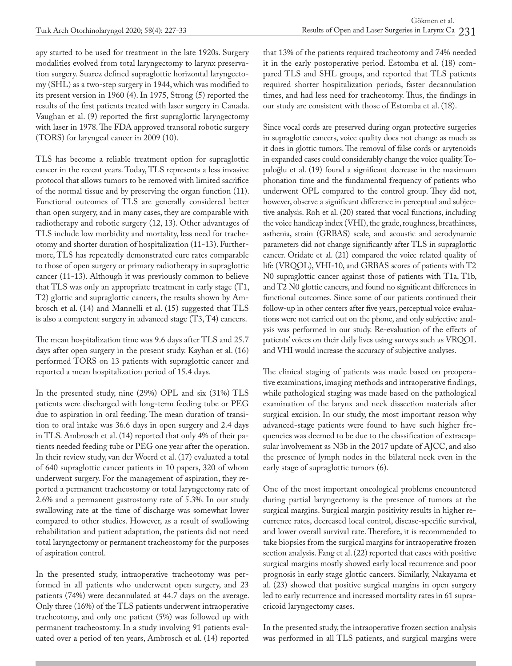apy started to be used for treatment in the late 1920s. Surgery modalities evolved from total laryngectomy to larynx preservation surgery. Suarez defined supraglottic horizontal laryngectomy (SHL) as a two-step surgery in 1944, which was modified to its present version in 1960 (4). In 1975, Strong (5) reported the results of the first patients treated with laser surgery in Canada. Vaughan et al. (9) reported the first supraglottic laryngectomy with laser in 1978. The FDA approved transoral robotic surgery (TORS) for laryngeal cancer in 2009 (10).

TLS has become a reliable treatment option for supraglottic cancer in the recent years. Today, TLS represents a less invasive protocol that allows tumors to be removed with limited sacrifice of the normal tissue and by preserving the organ function (11). Functional outcomes of TLS are generally considered better than open surgery, and in many cases, they are comparable with radiotherapy and robotic surgery (12, 13). Other advantages of TLS include low morbidity and mortality, less need for tracheotomy and shorter duration of hospitalization (11-13). Furthermore, TLS has repeatedly demonstrated cure rates comparable to those of open surgery or primary radiotherapy in supraglottic cancer (11-13). Although it was previously common to believe that TLS was only an appropriate treatment in early stage (T1, T2) glottic and supraglottic cancers, the results shown by Ambrosch et al. (14) and Mannelli et al. (15) suggested that TLS is also a competent surgery in advanced stage (T3, T4) cancers.

The mean hospitalization time was 9.6 days after TLS and 25.7 days after open surgery in the present study. Kayhan et al. (16) performed TORS on 13 patients with supraglottic cancer and reported a mean hospitalization period of 15.4 days.

In the presented study, nine (29%) OPL and six (31%) TLS patients were discharged with long-term feeding tube or PEG due to aspiration in oral feeding. The mean duration of transition to oral intake was 36.6 days in open surgery and 2.4 days in TLS. Ambrosch et al. (14) reported that only 4% of their patients needed feeding tube or PEG one year after the operation. In their review study, van der Woerd et al. (17) evaluated a total of 640 supraglottic cancer patients in 10 papers, 320 of whom underwent surgery. For the management of aspiration, they reported a permanent tracheostomy or total laryngectomy rate of 2.6% and a permanent gastrostomy rate of 5.3%. In our study swallowing rate at the time of discharge was somewhat lower compared to other studies. However, as a result of swallowing rehabilitation and patient adaptation, the patients did not need total laryngectomy or permanent tracheostomy for the purposes of aspiration control.

In the presented study, intraoperative tracheotomy was performed in all patients who underwent open surgery, and 23 patients (74%) were decannulated at 44.7 days on the average. Only three (16%) of the TLS patients underwent intraoperative tracheotomy, and only one patient (5%) was followed up with permanent tracheostomy. In a study involving 91 patients evaluated over a period of ten years, Ambrosch et al. (14) reported

that 13% of the patients required tracheotomy and 74% needed it in the early postoperative period. Estomba et al. (18) compared TLS and SHL groups, and reported that TLS patients required shorter hospitalization periods, faster decannulation times, and had less need for tracheotomy. Thus, the findings in our study are consistent with those of Estomba et al. (18).

Since vocal cords are preserved during organ protective surgeries in supraglottic cancers, voice quality does not change as much as it does in glottic tumors. The removal of false cords or arytenoids in expanded cases could considerably change the voice quality. Topaloğlu et al. (19) found a significant decrease in the maximum phonation time and the fundamental frequency of patients who underwent OPL compared to the control group. They did not, however, observe a significant difference in perceptual and subjective analysis. Roh et al. (20) stated that vocal functions, including the voice handicap index (VHI), the grade, roughness, breathiness, asthenia, strain (GRBAS) scale, and acoustic and aerodynamic parameters did not change significantly after TLS in supraglottic cancer. Oridate et al. (21) compared the voice related quality of life (VRQOL), VHI-10, and GRBAS scores of patients with T2 N0 supraglottic cancer against those of patients with T1a, T1b, and T2 N0 glottic cancers, and found no significant differences in functional outcomes. Since some of our patients continued their follow-up in other centers after five years, perceptual voice evaluations were not carried out on the phone, and only subjective analysis was performed in our study. Re-evaluation of the effects of patients' voices on their daily lives using surveys such as VRQOL and VHI would increase the accuracy of subjective analyses.

The clinical staging of patients was made based on preoperative examinations, imaging methods and intraoperative findings, while pathological staging was made based on the pathological examination of the larynx and neck dissection materials after surgical excision. In our study, the most important reason why advanced-stage patients were found to have such higher frequencies was deemed to be due to the classification of extracapsular involvement as N3b in the 2017 update of AJCC, and also the presence of lymph nodes in the bilateral neck even in the early stage of supraglottic tumors (6).

One of the most important oncological problems encountered during partial laryngectomy is the presence of tumors at the surgical margins. Surgical margin positivity results in higher recurrence rates, decreased local control, disease-specific survival, and lower overall survival rate. Therefore, it is recommended to take biopsies from the surgical margins for intraoperative frozen section analysis. Fang et al. (22) reported that cases with positive surgical margins mostly showed early local recurrence and poor prognosis in early stage glottic cancers. Similarly, Nakayama et al. (23) showed that positive surgical margins in open surgery led to early recurrence and increased mortality rates in 61 supracricoid laryngectomy cases.

In the presented study, the intraoperative frozen section analysis was performed in all TLS patients, and surgical margins were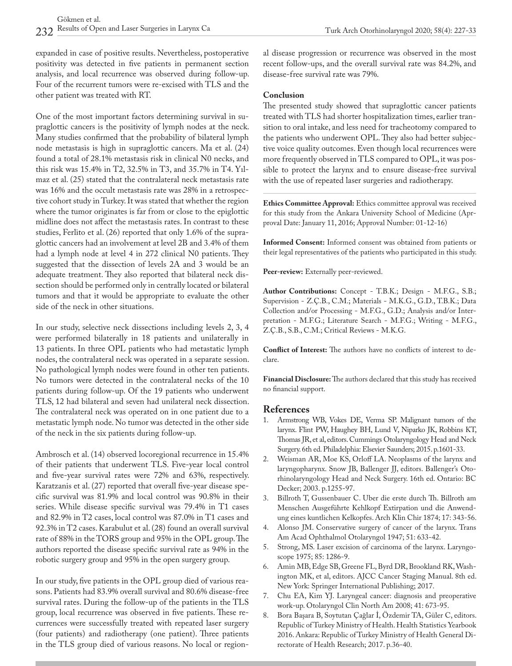expanded in case of positive results. Nevertheless, postoperative positivity was detected in five patients in permanent section analysis, and local recurrence was observed during follow-up. Four of the recurrent tumors were re-excised with TLS and the other patient was treated with RT.

One of the most important factors determining survival in supraglottic cancers is the positivity of lymph nodes at the neck. Many studies confirmed that the probability of bilateral lymph node metastasis is high in supraglottic cancers. Ma et al. (24) found a total of 28.1% metastasis risk in clinical N0 necks, and this risk was 15.4% in T2, 32.5% in T3, and 35.7% in T4. Yılmaz et al. (25) stated that the contralateral neck metastasis rate was 16% and the occult metastasis rate was 28% in a retrospective cohort study in Turkey. It was stated that whether the region where the tumor originates is far from or close to the epiglottic midline does not affect the metastasis rates. In contrast to these studies, Ferlito et al. (26) reported that only 1.6% of the supraglottic cancers had an involvement at level 2B and 3.4% of them had a lymph node at level 4 in 272 clinical N0 patients. They suggested that the dissection of levels 2A and 3 would be an adequate treatment. They also reported that bilateral neck dissection should be performed only in centrally located or bilateral tumors and that it would be appropriate to evaluate the other side of the neck in other situations.

In our study, selective neck dissections including levels 2, 3, 4 were performed bilaterally in 18 patients and unilaterally in 13 patients. In three OPL patients who had metastatic lymph nodes, the contralateral neck was operated in a separate session. No pathological lymph nodes were found in other ten patients. No tumors were detected in the contralateral necks of the 10 patients during follow-up. Of the 19 patients who underwent TLS, 12 had bilateral and seven had unilateral neck dissection. The contralateral neck was operated on in one patient due to a metastatic lymph node. No tumor was detected in the other side of the neck in the six patients during follow-up.

Ambrosch et al. (14) observed locoregional recurrence in 15.4% of their patients that underwent TLS. Five-year local control and five-year survival rates were 72% and 63%, respectively. Karatzanis et al. (27) reported that overall five-year disease specific survival was 81.9% and local control was 90.8% in their series. While disease specific survival was 79.4% in T1 cases and 82.9% in T2 cases, local control was 87.0% in T1 cases and 92.3% in T2 cases. Karabulut et al. (28) found an overall survival rate of 88% in the TORS group and 95% in the OPL group. The authors reported the disease specific survival rate as 94% in the robotic surgery group and 95% in the open surgery group.

In our study, five patients in the OPL group died of various reasons. Patients had 83.9% overall survival and 80.6% disease-free survival rates. During the follow-up of the patients in the TLS group, local recurrence was observed in five patients. These recurrences were successfully treated with repeated laser surgery (four patients) and radiotherapy (one patient). Three patients in the TLS group died of various reasons. No local or regional disease progression or recurrence was observed in the most recent follow-ups, and the overall survival rate was 84.2%, and disease-free survival rate was 79%.

#### **Conclusion**

The presented study showed that supraglottic cancer patients treated with TLS had shorter hospitalization times, earlier transition to oral intake, and less need for tracheotomy compared to the patients who underwent OPL. They also had better subjective voice quality outcomes. Even though local recurrences were more frequently observed in TLS compared to OPL, it was possible to protect the larynx and to ensure disease-free survival with the use of repeated laser surgeries and radiotherapy.

**Ethics Committee Approval:** Ethics committee approval was received for this study from the Ankara University School of Medicine (Aprproval Date: January 11, 2016; Approval Number: 01-12-16)

**Informed Consent:** Informed consent was obtained from patients or their legal representatives of the patients who participated in this study.

**Peer-review:** Externally peer-reviewed.

**Author Contributions:** Concept - T.B.K.; Design - M.F.G., S.B.; Supervision - Z.Ç.B., C.M.; Materials - M.K.G., G.D., T.B.K.; Data Collection and/or Processing - M.F.G., G.D.; Analysis and/or Interpretation - M.F.G.; Literature Search - M.F.G.; Writing - M.F.G., Z.Ç.B., S.B., C.M.; Critical Reviews - M.K.G.

**Conflict of Interest:** The authors have no conflicts of interest to declare.

**Financial Disclosure:** The authors declared that this study has received no financial support.

### **References**

- 1. Armstrong WB, Vokes DE, Verma SP. Malignant tumors of the larynx. Flint PW, Haughey BH, Lund V, Niparko JK, Robbins KT, Thomas JR, et al, editors. Cummings Otolaryngology Head and Neck Surgery. 6th ed. Philadelphia: Elsevier Saunders; 2015. p.1601-33.
- 2. Weisman AR, Moe KS, Orloff LA. Neoplasms of the larynx and laryngopharynx. Snow JB, Ballenger JJ, editors. Ballenger's Otorhinolaryngology Head and Neck Surgery. 16th ed. Ontario: BC Decker; 2003. p.1255-97.
- 3. Billroth T, Gussenbauer C. Uber die erste durch Th. Billroth am Menschen Ausgeführte Kehlkopf Extirpation und die Anwendung eines kuntlichen Kelkopfes. Arch Klin Chir 1874; 17: 343-56.
- 4. Alonso JM. Conservative surgery of cancer of the larynx. Trans Am Acad Ophthalmol Otolaryngol 1947; 51: 633-42.
- 5. Strong, MS. Laser excision of carcinoma of the larynx. Laryngoscope 1975; 85: 1286-9.
- 6. Amin MB, Edge SB, Greene FL, Byrd DR, Brookland RK, Washington MK, et al, editors. AJCC Cancer Staging Manual. 8th ed. New York: Springer International Publishing; 2017.
- 7. Chu EA, Kim YJ. Laryngeal cancer: diagnosis and preoperative work-up. Otolaryngol Clin North Am 2008; 41: 673-95.
- 8. Bora Başara B, Soytutan Çağlar İ, Özdemir TA, Güler C, editors. Republic of Turkey Ministry of Health. Health Statistics Yearbook 2016. Ankara: Republic of Turkey Ministry of Health General Directorate of Health Research; 2017. p.36-40.